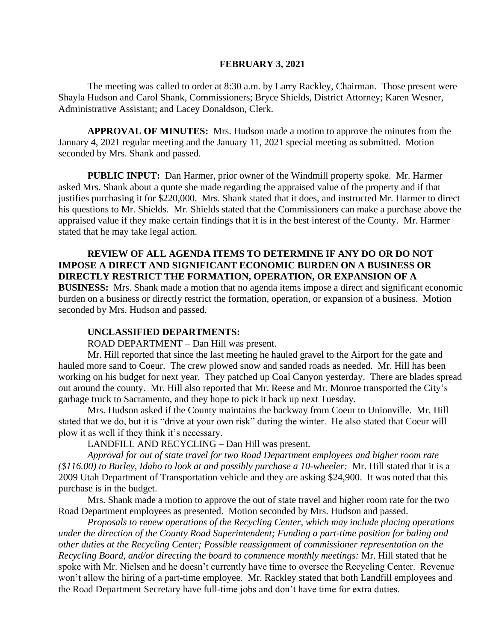#### **FEBRUARY 3, 2021**

The meeting was called to order at 8:30 a.m. by Larry Rackley, Chairman. Those present were Shayla Hudson and Carol Shank, Commissioners; Bryce Shields, District Attorney; Karen Wesner, Administrative Assistant; and Lacey Donaldson, Clerk.

**APPROVAL OF MINUTES:** Mrs. Hudson made a motion to approve the minutes from the January 4, 2021 regular meeting and the January 11, 2021 special meeting as submitted. Motion seconded by Mrs. Shank and passed.

**PUBLIC INPUT:** Dan Harmer, prior owner of the Windmill property spoke. Mr. Harmer asked Mrs. Shank about a quote she made regarding the appraised value of the property and if that justifies purchasing it for \$220,000. Mrs. Shank stated that it does, and instructed Mr. Harmer to direct his questions to Mr. Shields. Mr. Shields stated that the Commissioners can make a purchase above the appraised value if they make certain findings that it is in the best interest of the County. Mr. Harmer stated that he may take legal action.

**REVIEW OF ALL AGENDA ITEMS TO DETERMINE IF ANY DO OR DO NOT IMPOSE A DIRECT AND SIGNIFICANT ECONOMIC BURDEN ON A BUSINESS OR DIRECTLY RESTRICT THE FORMATION, OPERATION, OR EXPANSION OF A BUSINESS:** Mrs. Shank made a motion that no agenda items impose a direct and significant economic burden on a business or directly restrict the formation, operation, or expansion of a business. Motion seconded by Mrs. Hudson and passed.

#### **UNCLASSIFIED DEPARTMENTS:**

ROAD DEPARTMENT – Dan Hill was present.

Mr. Hill reported that since the last meeting he hauled gravel to the Airport for the gate and hauled more sand to Coeur. The crew plowed snow and sanded roads as needed. Mr. Hill has been working on his budget for next year. They patched up Coal Canyon yesterday. There are blades spread out around the county. Mr. Hill also reported that Mr. Reese and Mr. Monroe transported the City's garbage truck to Sacramento, and they hope to pick it back up next Tuesday.

Mrs. Hudson asked if the County maintains the backway from Coeur to Unionville. Mr. Hill stated that we do, but it is "drive at your own risk" during the winter. He also stated that Coeur will plow it as well if they think it's necessary.

LANDFILL AND RECYCLING – Dan Hill was present.

*Approval for out of state travel for two Road Department employees and higher room rate (\$116.00) to Burley, Idaho to look at and possibly purchase a 10-wheeler:* Mr. Hill stated that it is a 2009 Utah Department of Transportation vehicle and they are asking \$24,900. It was noted that this purchase is in the budget.

Mrs. Shank made a motion to approve the out of state travel and higher room rate for the two Road Department employees as presented. Motion seconded by Mrs. Hudson and passed.

*Proposals to renew operations of the Recycling Center, which may include placing operations under the direction of the County Road Superintendent; Funding a part-time position for baling and other duties at the Recycling Center; Possible reassignment of commissioner representation on the Recycling Board, and/or directing the board to commence monthly meetings:* Mr. Hill stated that he spoke with Mr. Nielsen and he doesn't currently have time to oversee the Recycling Center. Revenue won't allow the hiring of a part-time employee. Mr. Rackley stated that both Landfill employees and the Road Department Secretary have full-time jobs and don't have time for extra duties.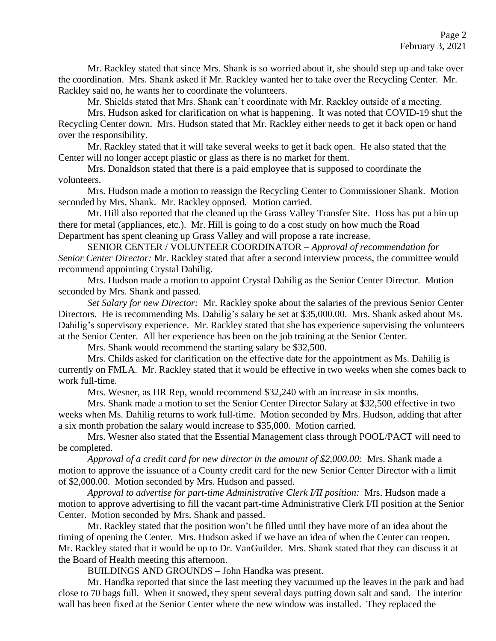Mr. Rackley stated that since Mrs. Shank is so worried about it, she should step up and take over the coordination. Mrs. Shank asked if Mr. Rackley wanted her to take over the Recycling Center. Mr. Rackley said no, he wants her to coordinate the volunteers.

Mr. Shields stated that Mrs. Shank can't coordinate with Mr. Rackley outside of a meeting.

Mrs. Hudson asked for clarification on what is happening. It was noted that COVID-19 shut the Recycling Center down. Mrs. Hudson stated that Mr. Rackley either needs to get it back open or hand over the responsibility.

Mr. Rackley stated that it will take several weeks to get it back open. He also stated that the Center will no longer accept plastic or glass as there is no market for them.

Mrs. Donaldson stated that there is a paid employee that is supposed to coordinate the volunteers.

Mrs. Hudson made a motion to reassign the Recycling Center to Commissioner Shank. Motion seconded by Mrs. Shank. Mr. Rackley opposed. Motion carried.

Mr. Hill also reported that the cleaned up the Grass Valley Transfer Site. Hoss has put a bin up there for metal (appliances, etc.). Mr. Hill is going to do a cost study on how much the Road Department has spent cleaning up Grass Valley and will propose a rate increase.

SENIOR CENTER / VOLUNTEER COORDINATOR – *Approval of recommendation for Senior Center Director:* Mr. Rackley stated that after a second interview process, the committee would recommend appointing Crystal Dahilig.

Mrs. Hudson made a motion to appoint Crystal Dahilig as the Senior Center Director. Motion seconded by Mrs. Shank and passed.

*Set Salary for new Director:* Mr. Rackley spoke about the salaries of the previous Senior Center Directors. He is recommending Ms. Dahilig's salary be set at \$35,000.00. Mrs. Shank asked about Ms. Dahilig's supervisory experience. Mr. Rackley stated that she has experience supervising the volunteers at the Senior Center. All her experience has been on the job training at the Senior Center.

Mrs. Shank would recommend the starting salary be \$32,500.

Mrs. Childs asked for clarification on the effective date for the appointment as Ms. Dahilig is currently on FMLA. Mr. Rackley stated that it would be effective in two weeks when she comes back to work full-time.

Mrs. Wesner, as HR Rep, would recommend \$32,240 with an increase in six months.

Mrs. Shank made a motion to set the Senior Center Director Salary at \$32,500 effective in two weeks when Ms. Dahilig returns to work full-time. Motion seconded by Mrs. Hudson, adding that after a six month probation the salary would increase to \$35,000. Motion carried.

Mrs. Wesner also stated that the Essential Management class through POOL/PACT will need to be completed.

*Approval of a credit card for new director in the amount of \$2,000.00:* Mrs. Shank made a motion to approve the issuance of a County credit card for the new Senior Center Director with a limit of \$2,000.00. Motion seconded by Mrs. Hudson and passed.

*Approval to advertise for part-time Administrative Clerk I/II position:* Mrs. Hudson made a motion to approve advertising to fill the vacant part-time Administrative Clerk I/II position at the Senior Center. Motion seconded by Mrs. Shank and passed.

Mr. Rackley stated that the position won't be filled until they have more of an idea about the timing of opening the Center. Mrs. Hudson asked if we have an idea of when the Center can reopen. Mr. Rackley stated that it would be up to Dr. VanGuilder. Mrs. Shank stated that they can discuss it at the Board of Health meeting this afternoon.

BUILDINGS AND GROUNDS – John Handka was present.

Mr. Handka reported that since the last meeting they vacuumed up the leaves in the park and had close to 70 bags full. When it snowed, they spent several days putting down salt and sand. The interior wall has been fixed at the Senior Center where the new window was installed. They replaced the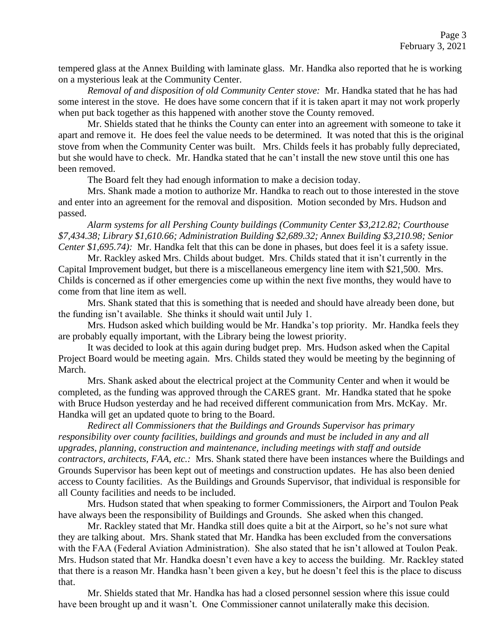tempered glass at the Annex Building with laminate glass. Mr. Handka also reported that he is working on a mysterious leak at the Community Center.

*Removal of and disposition of old Community Center stove:* Mr. Handka stated that he has had some interest in the stove. He does have some concern that if it is taken apart it may not work properly when put back together as this happened with another stove the County removed.

Mr. Shields stated that he thinks the County can enter into an agreement with someone to take it apart and remove it. He does feel the value needs to be determined. It was noted that this is the original stove from when the Community Center was built. Mrs. Childs feels it has probably fully depreciated, but she would have to check. Mr. Handka stated that he can't install the new stove until this one has been removed.

The Board felt they had enough information to make a decision today.

Mrs. Shank made a motion to authorize Mr. Handka to reach out to those interested in the stove and enter into an agreement for the removal and disposition. Motion seconded by Mrs. Hudson and passed.

*Alarm systems for all Pershing County buildings (Community Center \$3,212.82; Courthouse \$7,434.38; Library \$1,610.66; Administration Building \$2,689.32; Annex Building \$3,210.98; Senior Center \$1,695.74):* Mr. Handka felt that this can be done in phases, but does feel it is a safety issue.

Mr. Rackley asked Mrs. Childs about budget. Mrs. Childs stated that it isn't currently in the Capital Improvement budget, but there is a miscellaneous emergency line item with \$21,500. Mrs. Childs is concerned as if other emergencies come up within the next five months, they would have to come from that line item as well.

Mrs. Shank stated that this is something that is needed and should have already been done, but the funding isn't available. She thinks it should wait until July 1.

Mrs. Hudson asked which building would be Mr. Handka's top priority. Mr. Handka feels they are probably equally important, with the Library being the lowest priority.

It was decided to look at this again during budget prep. Mrs. Hudson asked when the Capital Project Board would be meeting again. Mrs. Childs stated they would be meeting by the beginning of March.

Mrs. Shank asked about the electrical project at the Community Center and when it would be completed, as the funding was approved through the CARES grant. Mr. Handka stated that he spoke with Bruce Hudson yesterday and he had received different communication from Mrs. McKay. Mr. Handka will get an updated quote to bring to the Board.

*Redirect all Commissioners that the Buildings and Grounds Supervisor has primary responsibility over county facilities, buildings and grounds and must be included in any and all upgrades, planning, construction and maintenance, including meetings with staff and outside contractors, architects, FAA, etc.:* Mrs. Shank stated there have been instances where the Buildings and Grounds Supervisor has been kept out of meetings and construction updates. He has also been denied access to County facilities. As the Buildings and Grounds Supervisor, that individual is responsible for all County facilities and needs to be included.

Mrs. Hudson stated that when speaking to former Commissioners, the Airport and Toulon Peak have always been the responsibility of Buildings and Grounds. She asked when this changed.

Mr. Rackley stated that Mr. Handka still does quite a bit at the Airport, so he's not sure what they are talking about. Mrs. Shank stated that Mr. Handka has been excluded from the conversations with the FAA (Federal Aviation Administration). She also stated that he isn't allowed at Toulon Peak. Mrs. Hudson stated that Mr. Handka doesn't even have a key to access the building. Mr. Rackley stated that there is a reason Mr. Handka hasn't been given a key, but he doesn't feel this is the place to discuss that.

Mr. Shields stated that Mr. Handka has had a closed personnel session where this issue could have been brought up and it wasn't. One Commissioner cannot unilaterally make this decision.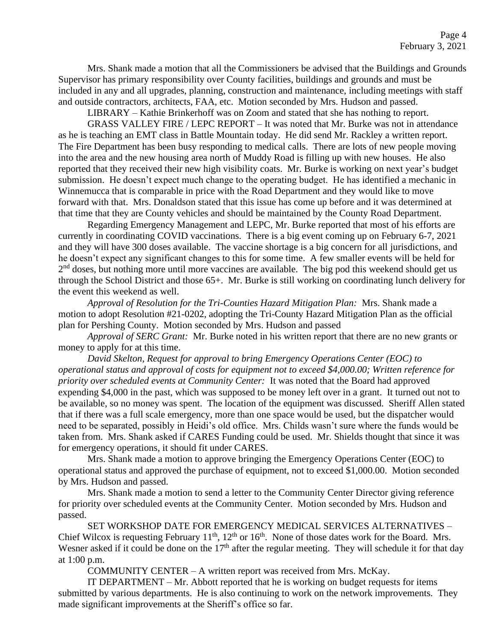Mrs. Shank made a motion that all the Commissioners be advised that the Buildings and Grounds Supervisor has primary responsibility over County facilities, buildings and grounds and must be included in any and all upgrades, planning, construction and maintenance, including meetings with staff and outside contractors, architects, FAA, etc. Motion seconded by Mrs. Hudson and passed.

LIBRARY – Kathie Brinkerhoff was on Zoom and stated that she has nothing to report.

GRASS VALLEY FIRE / LEPC REPORT – It was noted that Mr. Burke was not in attendance as he is teaching an EMT class in Battle Mountain today. He did send Mr. Rackley a written report. The Fire Department has been busy responding to medical calls. There are lots of new people moving into the area and the new housing area north of Muddy Road is filling up with new houses. He also reported that they received their new high visibility coats. Mr. Burke is working on next year's budget submission. He doesn't expect much change to the operating budget. He has identified a mechanic in Winnemucca that is comparable in price with the Road Department and they would like to move forward with that. Mrs. Donaldson stated that this issue has come up before and it was determined at that time that they are County vehicles and should be maintained by the County Road Department.

Regarding Emergency Management and LEPC, Mr. Burke reported that most of his efforts are currently in coordinating COVID vaccinations. There is a big event coming up on February 6-7, 2021 and they will have 300 doses available. The vaccine shortage is a big concern for all jurisdictions, and he doesn't expect any significant changes to this for some time. A few smaller events will be held for 2<sup>nd</sup> doses, but nothing more until more vaccines are available. The big pod this weekend should get us through the School District and those 65+. Mr. Burke is still working on coordinating lunch delivery for the event this weekend as well.

*Approval of Resolution for the Tri-Counties Hazard Mitigation Plan:* Mrs. Shank made a motion to adopt Resolution #21-0202, adopting the Tri-County Hazard Mitigation Plan as the official plan for Pershing County. Motion seconded by Mrs. Hudson and passed

*Approval of SERC Grant:* Mr. Burke noted in his written report that there are no new grants or money to apply for at this time.

*David Skelton, Request for approval to bring Emergency Operations Center (EOC) to operational status and approval of costs for equipment not to exceed \$4,000.00; Written reference for priority over scheduled events at Community Center:* It was noted that the Board had approved expending \$4,000 in the past, which was supposed to be money left over in a grant. It turned out not to be available, so no money was spent. The location of the equipment was discussed. Sheriff Allen stated that if there was a full scale emergency, more than one space would be used, but the dispatcher would need to be separated, possibly in Heidi's old office. Mrs. Childs wasn't sure where the funds would be taken from. Mrs. Shank asked if CARES Funding could be used. Mr. Shields thought that since it was for emergency operations, it should fit under CARES.

Mrs. Shank made a motion to approve bringing the Emergency Operations Center (EOC) to operational status and approved the purchase of equipment, not to exceed \$1,000.00. Motion seconded by Mrs. Hudson and passed.

Mrs. Shank made a motion to send a letter to the Community Center Director giving reference for priority over scheduled events at the Community Center. Motion seconded by Mrs. Hudson and passed.

SET WORKSHOP DATE FOR EMERGENCY MEDICAL SERVICES ALTERNATIVES – Chief Wilcox is requesting February  $11^{th}$ ,  $12^{th}$  or  $16^{th}$ . None of those dates work for the Board. Mrs. Wesner asked if it could be done on the  $17<sup>th</sup>$  after the regular meeting. They will schedule it for that day at 1:00 p.m.

COMMUNITY CENTER – A written report was received from Mrs. McKay.

IT DEPARTMENT – Mr. Abbott reported that he is working on budget requests for items submitted by various departments. He is also continuing to work on the network improvements. They made significant improvements at the Sheriff's office so far.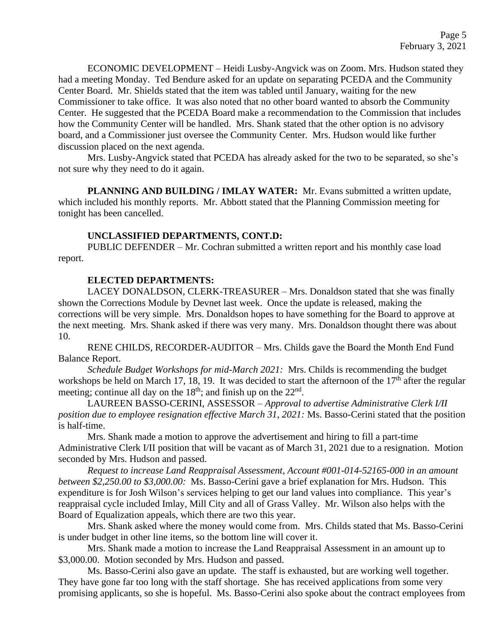ECONOMIC DEVELOPMENT – Heidi Lusby-Angvick was on Zoom. Mrs. Hudson stated they had a meeting Monday. Ted Bendure asked for an update on separating PCEDA and the Community Center Board. Mr. Shields stated that the item was tabled until January, waiting for the new Commissioner to take office. It was also noted that no other board wanted to absorb the Community Center. He suggested that the PCEDA Board make a recommendation to the Commission that includes how the Community Center will be handled. Mrs. Shank stated that the other option is no advisory board, and a Commissioner just oversee the Community Center. Mrs. Hudson would like further discussion placed on the next agenda.

Mrs. Lusby-Angvick stated that PCEDA has already asked for the two to be separated, so she's not sure why they need to do it again.

**PLANNING AND BUILDING / IMLAY WATER:** Mr. Evans submitted a written update, which included his monthly reports. Mr. Abbott stated that the Planning Commission meeting for tonight has been cancelled.

### **UNCLASSIFIED DEPARTMENTS, CONT.D:**

PUBLIC DEFENDER – Mr. Cochran submitted a written report and his monthly case load report.

### **ELECTED DEPARTMENTS:**

LACEY DONALDSON, CLERK-TREASURER – Mrs. Donaldson stated that she was finally shown the Corrections Module by Devnet last week. Once the update is released, making the corrections will be very simple. Mrs. Donaldson hopes to have something for the Board to approve at the next meeting. Mrs. Shank asked if there was very many. Mrs. Donaldson thought there was about 10.

RENE CHILDS, RECORDER-AUDITOR – Mrs. Childs gave the Board the Month End Fund Balance Report.

*Schedule Budget Workshops for mid-March 2021:* Mrs. Childs is recommending the budget workshops be held on March 17, 18, 19. It was decided to start the afternoon of the  $17<sup>th</sup>$  after the regular meeting; continue all day on the  $18<sup>th</sup>$ ; and finish up on the  $22<sup>nd</sup>$ .

LAUREEN BASSO-CERINI, ASSESSOR – *Approval to advertise Administrative Clerk I/II position due to employee resignation effective March 31, 2021:* Ms. Basso-Cerini stated that the position is half-time.

Mrs. Shank made a motion to approve the advertisement and hiring to fill a part-time Administrative Clerk I/II position that will be vacant as of March 31, 2021 due to a resignation. Motion seconded by Mrs. Hudson and passed.

*Request to increase Land Reappraisal Assessment, Account #001-014-52165-000 in an amount between \$2,250.00 to \$3,000.00:* Ms. Basso-Cerini gave a brief explanation for Mrs. Hudson. This expenditure is for Josh Wilson's services helping to get our land values into compliance. This year's reappraisal cycle included Imlay, Mill City and all of Grass Valley. Mr. Wilson also helps with the Board of Equalization appeals, which there are two this year.

Mrs. Shank asked where the money would come from. Mrs. Childs stated that Ms. Basso-Cerini is under budget in other line items, so the bottom line will cover it.

Mrs. Shank made a motion to increase the Land Reappraisal Assessment in an amount up to \$3,000.00. Motion seconded by Mrs. Hudson and passed.

Ms. Basso-Cerini also gave an update. The staff is exhausted, but are working well together. They have gone far too long with the staff shortage. She has received applications from some very promising applicants, so she is hopeful. Ms. Basso-Cerini also spoke about the contract employees from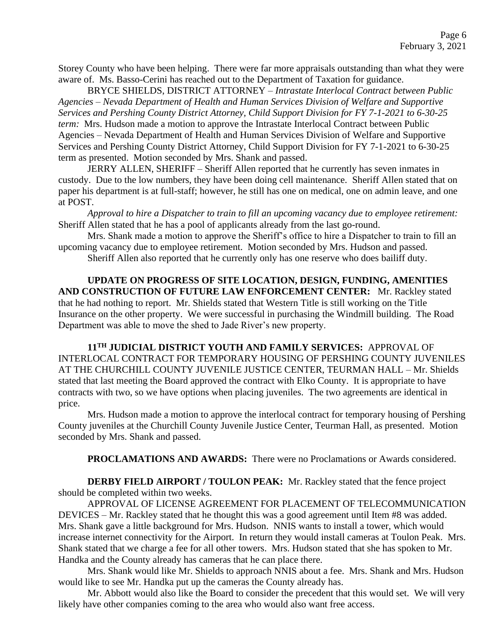Storey County who have been helping. There were far more appraisals outstanding than what they were aware of. Ms. Basso-Cerini has reached out to the Department of Taxation for guidance.

BRYCE SHIELDS, DISTRICT ATTORNEY – *Intrastate Interlocal Contract between Public Agencies – Nevada Department of Health and Human Services Division of Welfare and Supportive Services and Pershing County District Attorney, Child Support Division for FY 7-1-2021 to 6-30-25 term:* Mrs. Hudson made a motion to approve the Intrastate Interlocal Contract between Public Agencies – Nevada Department of Health and Human Services Division of Welfare and Supportive Services and Pershing County District Attorney, Child Support Division for FY 7-1-2021 to 6-30-25 term as presented. Motion seconded by Mrs. Shank and passed.

JERRY ALLEN, SHERIFF – Sheriff Allen reported that he currently has seven inmates in custody. Due to the low numbers, they have been doing cell maintenance. Sheriff Allen stated that on paper his department is at full-staff; however, he still has one on medical, one on admin leave, and one at POST.

*Approval to hire a Dispatcher to train to fill an upcoming vacancy due to employee retirement:*  Sheriff Allen stated that he has a pool of applicants already from the last go-round.

Mrs. Shank made a motion to approve the Sheriff's office to hire a Dispatcher to train to fill an upcoming vacancy due to employee retirement. Motion seconded by Mrs. Hudson and passed.

Sheriff Allen also reported that he currently only has one reserve who does bailiff duty.

**UPDATE ON PROGRESS OF SITE LOCATION, DESIGN, FUNDING, AMENITIES AND CONSTRUCTION OF FUTURE LAW ENFORCEMENT CENTER:** Mr. Rackley stated that he had nothing to report. Mr. Shields stated that Western Title is still working on the Title Insurance on the other property. We were successful in purchasing the Windmill building. The Road Department was able to move the shed to Jade River's new property.

**11TH JUDICIAL DISTRICT YOUTH AND FAMILY SERVICES:** APPROVAL OF INTERLOCAL CONTRACT FOR TEMPORARY HOUSING OF PERSHING COUNTY JUVENILES AT THE CHURCHILL COUNTY JUVENILE JUSTICE CENTER, TEURMAN HALL – Mr. Shields stated that last meeting the Board approved the contract with Elko County. It is appropriate to have contracts with two, so we have options when placing juveniles. The two agreements are identical in price.

Mrs. Hudson made a motion to approve the interlocal contract for temporary housing of Pershing County juveniles at the Churchill County Juvenile Justice Center, Teurman Hall, as presented. Motion seconded by Mrs. Shank and passed.

**PROCLAMATIONS AND AWARDS:** There were no Proclamations or Awards considered.

**DERBY FIELD AIRPORT / TOULON PEAK:** Mr. Rackley stated that the fence project should be completed within two weeks.

APPROVAL OF LICENSE AGREEMENT FOR PLACEMENT OF TELECOMMUNICATION DEVICES – Mr. Rackley stated that he thought this was a good agreement until Item #8 was added. Mrs. Shank gave a little background for Mrs. Hudson. NNIS wants to install a tower, which would increase internet connectivity for the Airport. In return they would install cameras at Toulon Peak. Mrs. Shank stated that we charge a fee for all other towers. Mrs. Hudson stated that she has spoken to Mr. Handka and the County already has cameras that he can place there.

Mrs. Shank would like Mr. Shields to approach NNIS about a fee. Mrs. Shank and Mrs. Hudson would like to see Mr. Handka put up the cameras the County already has.

Mr. Abbott would also like the Board to consider the precedent that this would set. We will very likely have other companies coming to the area who would also want free access.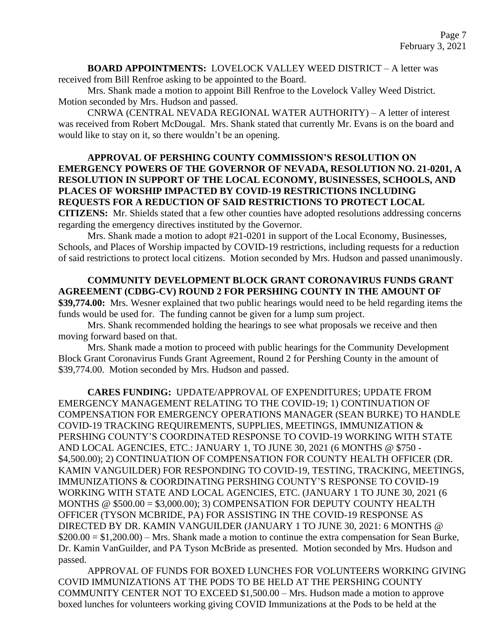**BOARD APPOINTMENTS:** LOVELOCK VALLEY WEED DISTRICT – A letter was received from Bill Renfroe asking to be appointed to the Board.

Mrs. Shank made a motion to appoint Bill Renfroe to the Lovelock Valley Weed District. Motion seconded by Mrs. Hudson and passed.

CNRWA (CENTRAL NEVADA REGIONAL WATER AUTHORITY) – A letter of interest was received from Robert McDougal. Mrs. Shank stated that currently Mr. Evans is on the board and would like to stay on it, so there wouldn't be an opening.

## **APPROVAL OF PERSHING COUNTY COMMISSION'S RESOLUTION ON EMERGENCY POWERS OF THE GOVERNOR OF NEVADA, RESOLUTION NO. 21-0201, A RESOLUTION IN SUPPORT OF THE LOCAL ECONOMY, BUSINESSES, SCHOOLS, AND PLACES OF WORSHIP IMPACTED BY COVID-19 RESTRICTIONS INCLUDING REQUESTS FOR A REDUCTION OF SAID RESTRICTIONS TO PROTECT LOCAL**

**CITIZENS:** Mr. Shields stated that a few other counties have adopted resolutions addressing concerns regarding the emergency directives instituted by the Governor.

Mrs. Shank made a motion to adopt #21-0201 in support of the Local Economy, Businesses, Schools, and Places of Worship impacted by COVID-19 restrictions, including requests for a reduction of said restrictions to protect local citizens. Motion seconded by Mrs. Hudson and passed unanimously.

**COMMUNITY DEVELOPMENT BLOCK GRANT CORONAVIRUS FUNDS GRANT AGREEMENT (CDBG-CV) ROUND 2 FOR PERSHING COUNTY IN THE AMOUNT OF \$39,774.00:** Mrs. Wesner explained that two public hearings would need to be held regarding items the funds would be used for. The funding cannot be given for a lump sum project.

Mrs. Shank recommended holding the hearings to see what proposals we receive and then moving forward based on that.

Mrs. Shank made a motion to proceed with public hearings for the Community Development Block Grant Coronavirus Funds Grant Agreement, Round 2 for Pershing County in the amount of \$39,774.00. Motion seconded by Mrs. Hudson and passed.

**CARES FUNDING:** UPDATE/APPROVAL OF EXPENDITURES; UPDATE FROM EMERGENCY MANAGEMENT RELATING TO THE COVID-19; 1) CONTINUATION OF COMPENSATION FOR EMERGENCY OPERATIONS MANAGER (SEAN BURKE) TO HANDLE COVID-19 TRACKING REQUIREMENTS, SUPPLIES, MEETINGS, IMMUNIZATION & PERSHING COUNTY'S COORDINATED RESPONSE TO COVID-19 WORKING WITH STATE AND LOCAL AGENCIES, ETC.: JANUARY 1, TO JUNE 30, 2021 (6 MONTHS @ \$750 - \$4,500.00); 2) CONTINUATION OF COMPENSATION FOR COUNTY HEALTH OFFICER (DR. KAMIN VANGUILDER) FOR RESPONDING TO COVID-19, TESTING, TRACKING, MEETINGS, IMMUNIZATIONS & COORDINATING PERSHING COUNTY'S RESPONSE TO COVID-19 WORKING WITH STATE AND LOCAL AGENCIES, ETC. (JANUARY 1 TO JUNE 30, 2021 (6 MONTHS @ \$500.00 = \$3,000.00); 3) COMPENSATION FOR DEPUTY COUNTY HEALTH OFFICER (TYSON MCBRIDE, PA) FOR ASSISTING IN THE COVID-19 RESPONSE AS DIRECTED BY DR. KAMIN VANGUILDER (JANUARY 1 TO JUNE 30, 2021: 6 MONTHS @  $$200.00 = $1,200.00$  – Mrs. Shank made a motion to continue the extra compensation for Sean Burke, Dr. Kamin VanGuilder, and PA Tyson McBride as presented. Motion seconded by Mrs. Hudson and passed.

APPROVAL OF FUNDS FOR BOXED LUNCHES FOR VOLUNTEERS WORKING GIVING COVID IMMUNIZATIONS AT THE PODS TO BE HELD AT THE PERSHING COUNTY COMMUNITY CENTER NOT TO EXCEED \$1,500.00 – Mrs. Hudson made a motion to approve boxed lunches for volunteers working giving COVID Immunizations at the Pods to be held at the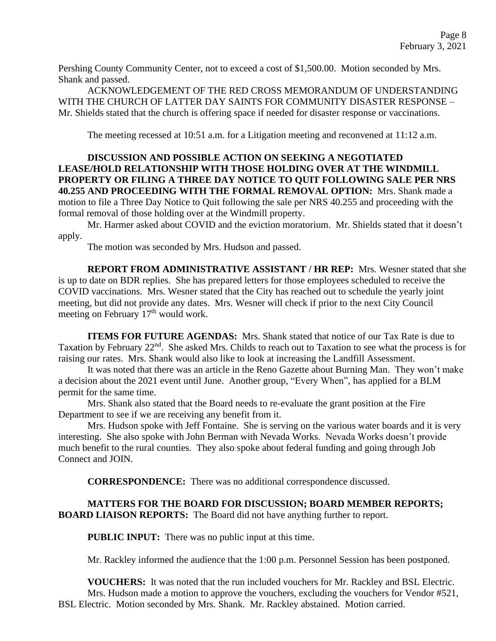Pershing County Community Center, not to exceed a cost of \$1,500.00. Motion seconded by Mrs. Shank and passed.

ACKNOWLEDGEMENT OF THE RED CROSS MEMORANDUM OF UNDERSTANDING WITH THE CHURCH OF LATTER DAY SAINTS FOR COMMUNITY DISASTER RESPONSE – Mr. Shields stated that the church is offering space if needed for disaster response or vaccinations.

The meeting recessed at 10:51 a.m. for a Litigation meeting and reconvened at 11:12 a.m.

# **DISCUSSION AND POSSIBLE ACTION ON SEEKING A NEGOTIATED LEASE/HOLD RELATIONSHIP WITH THOSE HOLDING OVER AT THE WINDMILL PROPERTY OR FILING A THREE DAY NOTICE TO QUIT FOLLOWING SALE PER NRS 40.255 AND PROCEEDING WITH THE FORMAL REMOVAL OPTION:** Mrs. Shank made a motion to file a Three Day Notice to Quit following the sale per NRS 40.255 and proceeding with the formal removal of those holding over at the Windmill property.

Mr. Harmer asked about COVID and the eviction moratorium. Mr. Shields stated that it doesn't apply.

The motion was seconded by Mrs. Hudson and passed.

**REPORT FROM ADMINISTRATIVE ASSISTANT / HR REP:** Mrs. Wesner stated that she is up to date on BDR replies. She has prepared letters for those employees scheduled to receive the COVID vaccinations. Mrs. Wesner stated that the City has reached out to schedule the yearly joint meeting, but did not provide any dates. Mrs. Wesner will check if prior to the next City Council meeting on February 17<sup>th</sup> would work.

**ITEMS FOR FUTURE AGENDAS:** Mrs. Shank stated that notice of our Tax Rate is due to Taxation by February 22<sup>nd</sup>. She asked Mrs. Childs to reach out to Taxation to see what the process is for raising our rates. Mrs. Shank would also like to look at increasing the Landfill Assessment.

It was noted that there was an article in the Reno Gazette about Burning Man. They won't make a decision about the 2021 event until June. Another group, "Every When", has applied for a BLM permit for the same time.

Mrs. Shank also stated that the Board needs to re-evaluate the grant position at the Fire Department to see if we are receiving any benefit from it.

Mrs. Hudson spoke with Jeff Fontaine. She is serving on the various water boards and it is very interesting. She also spoke with John Berman with Nevada Works. Nevada Works doesn't provide much benefit to the rural counties. They also spoke about federal funding and going through Job Connect and JOIN.

**CORRESPONDENCE:** There was no additional correspondence discussed.

**MATTERS FOR THE BOARD FOR DISCUSSION; BOARD MEMBER REPORTS; BOARD LIAISON REPORTS:** The Board did not have anything further to report.

**PUBLIC INPUT:** There was no public input at this time.

Mr. Rackley informed the audience that the 1:00 p.m. Personnel Session has been postponed.

**VOUCHERS:** It was noted that the run included vouchers for Mr. Rackley and BSL Electric. Mrs. Hudson made a motion to approve the vouchers, excluding the vouchers for Vendor #521, BSL Electric. Motion seconded by Mrs. Shank. Mr. Rackley abstained. Motion carried.